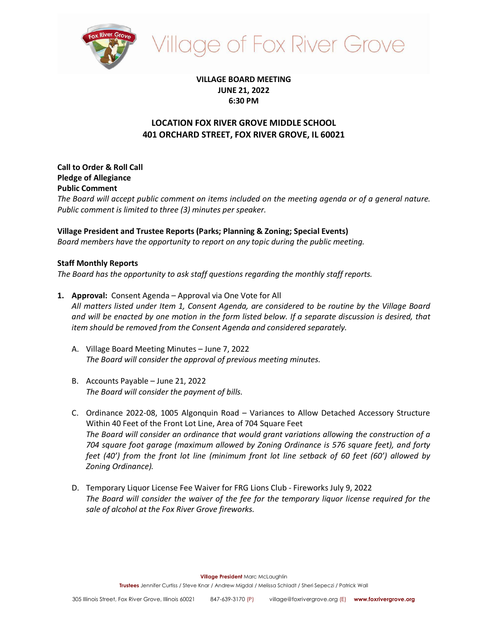

# **Ilage of Fox River Grove**

## **VILLAGE BOARD MEETING JUNE 21, 2022 6:30 PM**

## **LOCATION FOX RIVER GROVE MIDDLE SCHOOL 401 ORCHARD STREET, FOX RIVER GROVE, IL 60021**

**Call to Order & Roll Call Pledge of Allegiance Public Comment**

*The Board will accept public comment on items included on the meeting agenda or of a general nature. Public comment is limited to three (3) minutes per speaker.*

## **Village President and Trustee Reports (Parks; Planning & Zoning; Special Events)**

*Board members have the opportunity to report on any topic during the public meeting.*

#### **Staff Monthly Reports**

*The Board has the opportunity to ask staff questions regarding the monthly staff reports.*

**1. Approval:** Consent Agenda – Approval via One Vote for All

*All matters listed under Item 1, Consent Agenda, are considered to be routine by the Village Board and will be enacted by one motion in the form listed below. If a separate discussion is desired, that item should be removed from the Consent Agenda and considered separately.*

- A. Village Board Meeting Minutes June 7, 2022 *The Board will consider the approval of previous meeting minutes.*
- B. Accounts Payable June 21, 2022 *The Board will consider the payment of bills.*
- C. Ordinance 2022-08, 1005 Algonquin Road Variances to Allow Detached Accessory Structure Within 40 Feet of the Front Lot Line, Area of 704 Square Feet *The Board will consider an ordinance that would grant variations allowing the construction of a 704 square foot garage (maximum allowed by Zoning Ordinance is 576 square feet), and forty feet (40') from the front lot line (minimum front lot line setback of 60 feet (60') allowed by Zoning Ordinance).*
- D. Temporary Liquor License Fee Waiver for FRG Lions Club Fireworks July 9, 2022 *The Board will consider the waiver of the fee for the temporary liquor license required for the sale of alcohol at the Fox River Grove fireworks.*